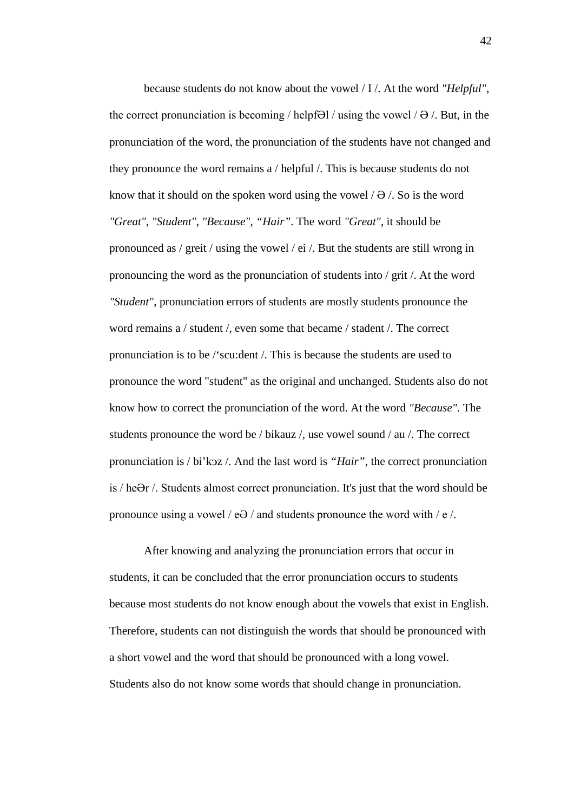because students do not know about the vowel / I /. At the word *"Helpful"*, the correct pronunciation is becoming  $/$  helpf $\Theta$ l  $/$  using the vowel  $/ \Theta /$ . But, in the pronunciation of the word, the pronunciation of the students have not changed and they pronounce the word remains a / helpful /. This is because students do not know that it should on the spoken word using the vowel  $/ \theta$  /. So is the word *"Great"*, *"Student"*, *"Because", "Hair"*. The word *"Great"*, it should be pronounced as / greit / using the vowel / ei /. But the students are still wrong in pronouncing the word as the pronunciation of students into / grit /. At the word *"Student"*, pronunciation errors of students are mostly students pronounce the word remains a / student /, even some that became / stadent /. The correct pronunciation is to be /'scu:dent /. This is because the students are used to pronounce the word "student" as the original and unchanged. Students also do not know how to correct the pronunciation of the word. At the word *"Because"*. The students pronounce the word be / bikauz /, use vowel sound / au /. The correct pronunciation is / bi'koz /. And the last word is "*Hair*", the correct pronunciation is / heƏr /. Students almost correct pronunciation. It's just that the word should be pronounce using a vowel /  $e\theta$  / and students pronounce the word with /  $e$  /.

After knowing and analyzing the pronunciation errors that occur in students, it can be concluded that the error pronunciation occurs to students because most students do not know enough about the vowels that exist in English. Therefore, students can not distinguish the words that should be pronounced with a short vowel and the word that should be pronounced with a long vowel. Students also do not know some words that should change in pronunciation.